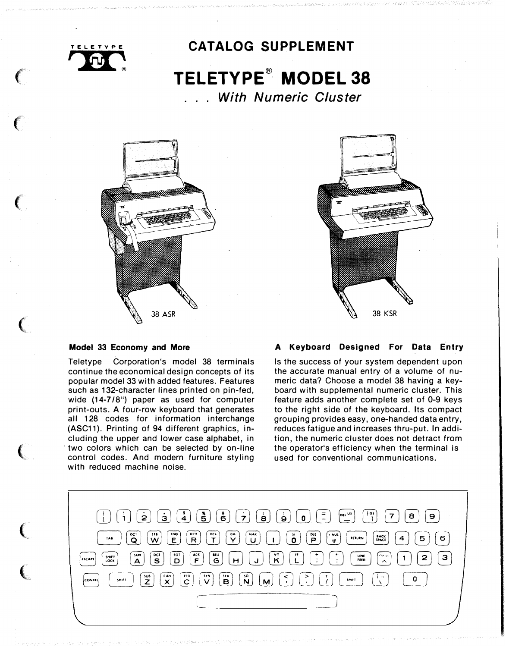

 $\left($ 

 $\left(\begin{array}{c} 0 \\ 0 \end{array}\right)$ 

 $\ell$ 

 $\big($ 

(

 $\big($ 

 $\overline{\mathbb{C}}$ 

# CATALOG SUPPLEMENT

TELETYPE<sup>®</sup> MODEL 38 With Numeric Cluster





## Model 33 Economy and More

Teletype Corporation's model 38 terminals continue the economical design concepts of its popular model 33 with added features. Features such as 132-character lines printed on pin-fed, wide (14-7/8") paper as used for computer print-outs. A four-row keyboard that generates all 128 codes for information interchange (ASC11). Printing of 94 different graphics, including the upper and lower case alphabet, in two colors which can be selected by on-line control codes. And modern furniture styling with reduced machine noise.

## A Keyboard Designed For Data Entry

Is the success of your system dependent upon the accurate manual entry of a volume of numeric data? Choose a model 38 having a keyboard with supplemental numeric cluster. This feature adds another complete set of 0-9 keys to the right side of the keyboard. Its compact grouping provides easy, one-handed data entry, reduces fatigue and increases thru-put. In addition, the numeric cluster does not detract from the operator's efficiency when the terminal is used for conventional communications.